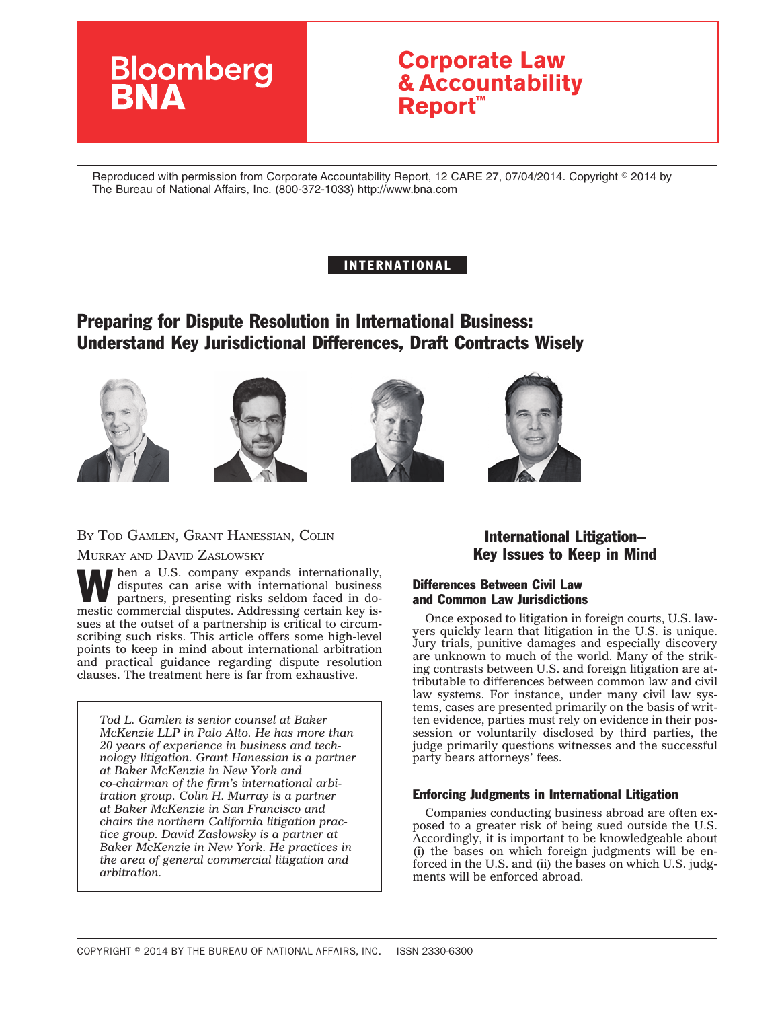# **Bloomberg**

# **Corporate Law & Accountability Report™**

Reproduced with permission from Corporate Accountability Report, 12 CARE 27, 07/04/2014. Copyright © 2014 by The Bureau of National Affairs, Inc. (800-372-1033) http://www.bna.com

# INTERNATIONAL

# Preparing for Dispute Resolution in International Business: Understand Key Jurisdictional Differences, Draft Contracts Wisely









# BY TOD GAMLEN, GRANT HANESSIAN, COLIN MURRAY AND DAVID ZASLOWSKY

When a U.S. company expands internationally, disputes can arise with international business partners, presenting risks seldom faced in dodisputes can arise with international business mestic commercial disputes. Addressing certain key issues at the outset of a partnership is critical to circumscribing such risks. This article offers some high-level points to keep in mind about international arbitration and practical guidance regarding dispute resolution clauses. The treatment here is far from exhaustive.

*Tod L. Gamlen is senior counsel at Baker McKenzie LLP in Palo Alto. He has more than 20 years of experience in business and technology litigation. Grant Hanessian is a partner at Baker McKenzie in New York and co-chairman of the firm's international arbitration group. Colin H. Murray is a partner at Baker McKenzie in San Francisco and chairs the northern California litigation practice group. David Zaslowsky is a partner at Baker McKenzie in New York. He practices in the area of general commercial litigation and arbitration.*

# International Litigation– Key Issues to Keep in Mind

# Differences Between Civil Law and Common Law Jurisdictions

Once exposed to litigation in foreign courts, U.S. lawyers quickly learn that litigation in the U.S. is unique. Jury trials, punitive damages and especially discovery are unknown to much of the world. Many of the striking contrasts between U.S. and foreign litigation are attributable to differences between common law and civil law systems. For instance, under many civil law systems, cases are presented primarily on the basis of written evidence, parties must rely on evidence in their possession or voluntarily disclosed by third parties, the judge primarily questions witnesses and the successful party bears attorneys' fees.

### Enforcing Judgments in International Litigation

Companies conducting business abroad are often exposed to a greater risk of being sued outside the U.S. Accordingly, it is important to be knowledgeable about (i) the bases on which foreign judgments will be enforced in the U.S. and (ii) the bases on which U.S. judgments will be enforced abroad.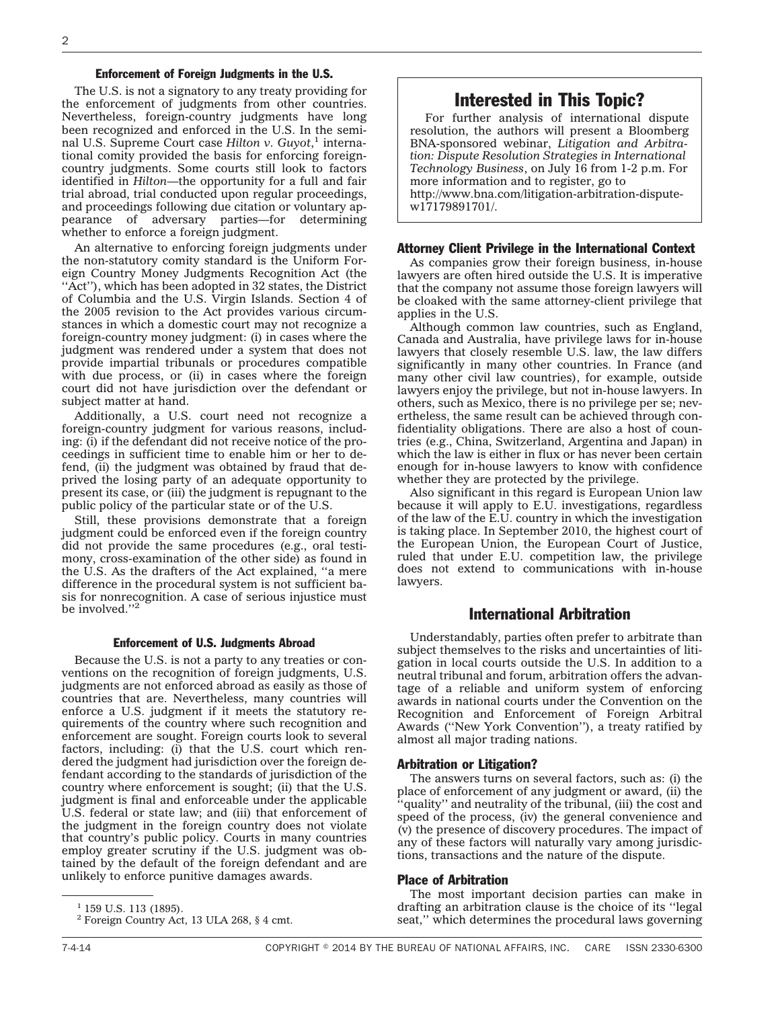#### Enforcement of Foreign Judgments in the U.S.

The U.S. is not a signatory to any treaty providing for the enforcement of judgments from other countries. Nevertheless, foreign-country judgments have long been recognized and enforced in the U.S. In the seminal U.S. Supreme Court case *Hilton v. Guyot*, <sup>1</sup> international comity provided the basis for enforcing foreigncountry judgments. Some courts still look to factors identified in *Hilton*—the opportunity for a full and fair trial abroad, trial conducted upon regular proceedings, and proceedings following due citation or voluntary appearance of adversary parties—for determining whether to enforce a foreign judgment.

An alternative to enforcing foreign judgments under the non-statutory comity standard is the Uniform Foreign Country Money Judgments Recognition Act (the "Act"), which has been adopted in 32 states, the District of Columbia and the U.S. Virgin Islands. Section 4 of the 2005 revision to the Act provides various circumstances in which a domestic court may not recognize a foreign-country money judgment: (i) in cases where the judgment was rendered under a system that does not provide impartial tribunals or procedures compatible with due process, or (ii) in cases where the foreign court did not have jurisdiction over the defendant or subject matter at hand.

Additionally, a U.S. court need not recognize a foreign-country judgment for various reasons, including: (i) if the defendant did not receive notice of the proceedings in sufficient time to enable him or her to defend, (ii) the judgment was obtained by fraud that deprived the losing party of an adequate opportunity to present its case, or (iii) the judgment is repugnant to the public policy of the particular state or of the U.S.

Still, these provisions demonstrate that a foreign judgment could be enforced even if the foreign country did not provide the same procedures (e.g., oral testimony, cross-examination of the other side) as found in the U.S. As the drafters of the Act explained, ''a mere difference in the procedural system is not sufficient basis for nonrecognition. A case of serious injustice must be involved.''2

#### Enforcement of U.S. Judgments Abroad

Because the U.S. is not a party to any treaties or conventions on the recognition of foreign judgments, U.S. judgments are not enforced abroad as easily as those of countries that are. Nevertheless, many countries will enforce a U.S. judgment if it meets the statutory requirements of the country where such recognition and enforcement are sought. Foreign courts look to several factors, including: (i) that the U.S. court which rendered the judgment had jurisdiction over the foreign defendant according to the standards of jurisdiction of the country where enforcement is sought; (ii) that the U.S. judgment is final and enforceable under the applicable U.S. federal or state law; and (iii) that enforcement of the judgment in the foreign country does not violate that country's public policy. Courts in many countries employ greater scrutiny if the U.S. judgment was obtained by the default of the foreign defendant and are unlikely to enforce punitive damages awards.

# Interested in This Topic?

For further analysis of international dispute resolution, the authors will present a Bloomberg BNA-sponsored webinar, *Litigation and Arbitration: Dispute Resolution Strategies in International Technology Business*, on July 16 from 1-2 p.m. For more information and to register, go to [http://www.bna.com/litigation-arbitration-dispute](http://www.bna.com/litigation-arbitration-dispute-w17179891701/)[w17179891701/.](http://www.bna.com/litigation-arbitration-dispute-w17179891701/)

#### Attorney Client Privilege in the International Context

As companies grow their foreign business, in-house lawyers are often hired outside the U.S. It is imperative that the company not assume those foreign lawyers will be cloaked with the same attorney-client privilege that applies in the U.S.

Although common law countries, such as England, Canada and Australia, have privilege laws for in-house lawyers that closely resemble U.S. law, the law differs significantly in many other countries. In France (and many other civil law countries), for example, outside lawyers enjoy the privilege, but not in-house lawyers. In others, such as Mexico, there is no privilege per se; nevertheless, the same result can be achieved through confidentiality obligations. There are also a host of countries (e.g., China, Switzerland, Argentina and Japan) in which the law is either in flux or has never been certain enough for in-house lawyers to know with confidence whether they are protected by the privilege.

Also significant in this regard is European Union law because it will apply to E.U. investigations, regardless of the law of the E.U. country in which the investigation is taking place. In September 2010, the highest court of the European Union, the European Court of Justice, ruled that under E.U. competition law, the privilege does not extend to communications with in-house lawyers.

#### International Arbitration

Understandably, parties often prefer to arbitrate than subject themselves to the risks and uncertainties of litigation in local courts outside the U.S. In addition to a neutral tribunal and forum, arbitration offers the advantage of a reliable and uniform system of enforcing awards in national courts under the Convention on the Recognition and Enforcement of Foreign Arbitral Awards (''New York Convention''), a treaty ratified by almost all major trading nations.

#### Arbitration or Litigation?

The answers turns on several factors, such as: (i) the place of enforcement of any judgment or award, (ii) the quality" and neutrality of the tribunal, (iii) the cost and speed of the process, (iv) the general convenience and (v) the presence of discovery procedures. The impact of any of these factors will naturally vary among jurisdictions, transactions and the nature of the dispute.

#### Place of Arbitration

The most important decision parties can make in drafting an arbitration clause is the choice of its ''legal seat,'' which determines the procedural laws governing

 $1$  159 U.S. 113 (1895).

<sup>2</sup> Foreign Country Act, 13 ULA 268, § 4 cmt.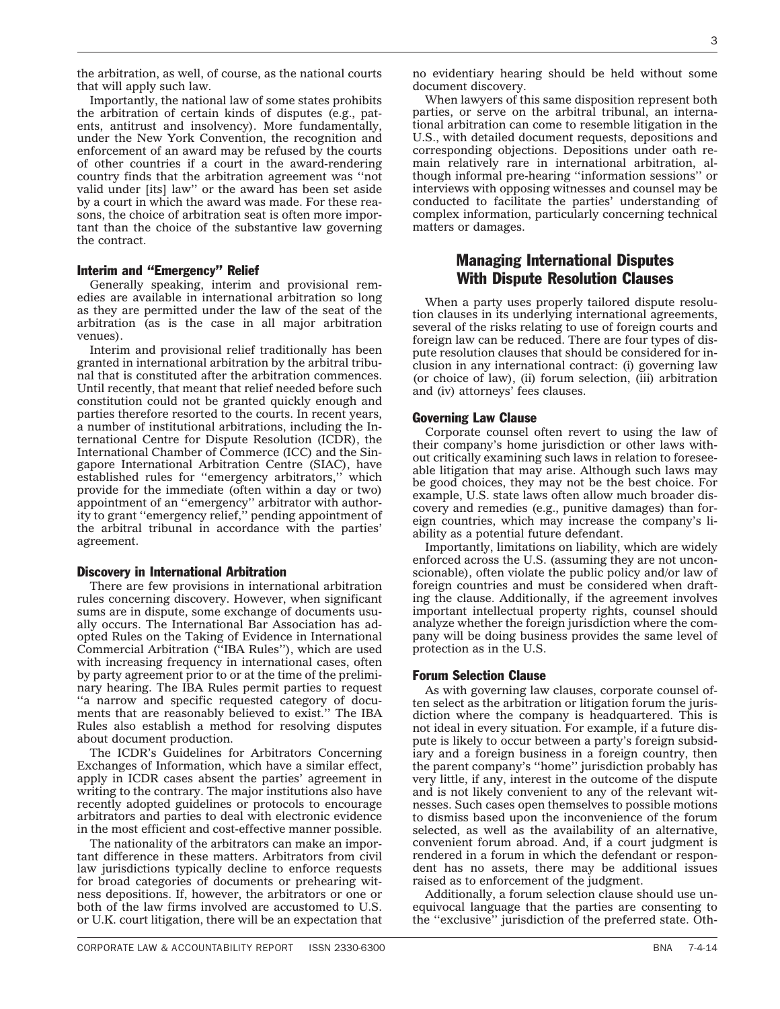that will apply such law.

the arbitration, as well, of course, as the national courts

Importantly, the national law of some states prohibits the arbitration of certain kinds of disputes (e.g., patents, antitrust and insolvency). More fundamentally, under the New York Convention, the recognition and enforcement of an award may be refused by the courts of other countries if a court in the award-rendering country finds that the arbitration agreement was ''not valid under [its] law'' or the award has been set aside by a court in which the award was made. For these reasons, the choice of arbitration seat is often more important than the choice of the substantive law governing the contract.

#### Interim and ''Emergency'' Relief

Generally speaking, interim and provisional remedies are available in international arbitration so long as they are permitted under the law of the seat of the arbitration (as is the case in all major arbitration venues).

Interim and provisional relief traditionally has been granted in international arbitration by the arbitral tribunal that is constituted after the arbitration commences. Until recently, that meant that relief needed before such constitution could not be granted quickly enough and parties therefore resorted to the courts. In recent years, a number of institutional arbitrations, including the International Centre for Dispute Resolution (ICDR), the International Chamber of Commerce (ICC) and the Singapore International Arbitration Centre (SIAC), have established rules for ''emergency arbitrators,'' which provide for the immediate (often within a day or two) appointment of an ''emergency'' arbitrator with authority to grant ''emergency relief,'' pending appointment of the arbitral tribunal in accordance with the parties' agreement.

#### Discovery in International Arbitration

There are few provisions in international arbitration rules concerning discovery. However, when significant sums are in dispute, some exchange of documents usually occurs. The International Bar Association has adopted Rules on the Taking of Evidence in International Commercial Arbitration (''IBA Rules''), which are used with increasing frequency in international cases, often by party agreement prior to or at the time of the preliminary hearing. The IBA Rules permit parties to request ''a narrow and specific requested category of documents that are reasonably believed to exist.'' The IBA Rules also establish a method for resolving disputes about document production.

The ICDR's Guidelines for Arbitrators Concerning Exchanges of Information, which have a similar effect, apply in ICDR cases absent the parties' agreement in writing to the contrary. The major institutions also have recently adopted guidelines or protocols to encourage arbitrators and parties to deal with electronic evidence in the most efficient and cost-effective manner possible.

The nationality of the arbitrators can make an important difference in these matters. Arbitrators from civil law jurisdictions typically decline to enforce requests for broad categories of documents or prehearing witness depositions. If, however, the arbitrators or one or both of the law firms involved are accustomed to U.S. or U.K. court litigation, there will be an expectation that no evidentiary hearing should be held without some document discovery.

When lawyers of this same disposition represent both parties, or serve on the arbitral tribunal, an international arbitration can come to resemble litigation in the U.S., with detailed document requests, depositions and corresponding objections. Depositions under oath remain relatively rare in international arbitration, although informal pre-hearing ''information sessions'' or interviews with opposing witnesses and counsel may be conducted to facilitate the parties' understanding of complex information, particularly concerning technical matters or damages.

## Managing International Disputes With Dispute Resolution Clauses

When a party uses properly tailored dispute resolution clauses in its underlying international agreements, several of the risks relating to use of foreign courts and foreign law can be reduced. There are four types of dispute resolution clauses that should be considered for inclusion in any international contract: (i) governing law (or choice of law), (ii) forum selection, (iii) arbitration and (iv) attorneys' fees clauses.

#### Governing Law Clause

Corporate counsel often revert to using the law of their company's home jurisdiction or other laws without critically examining such laws in relation to foreseeable litigation that may arise. Although such laws may be good choices, they may not be the best choice. For example, U.S. state laws often allow much broader discovery and remedies (e.g., punitive damages) than foreign countries, which may increase the company's liability as a potential future defendant.

Importantly, limitations on liability, which are widely enforced across the U.S. (assuming they are not unconscionable), often violate the public policy and/or law of foreign countries and must be considered when drafting the clause. Additionally, if the agreement involves important intellectual property rights, counsel should analyze whether the foreign jurisdiction where the company will be doing business provides the same level of protection as in the U.S.

#### Forum Selection Clause

As with governing law clauses, corporate counsel often select as the arbitration or litigation forum the jurisdiction where the company is headquartered. This is not ideal in every situation. For example, if a future dispute is likely to occur between a party's foreign subsidiary and a foreign business in a foreign country, then the parent company's ''home'' jurisdiction probably has very little, if any, interest in the outcome of the dispute and is not likely convenient to any of the relevant witnesses. Such cases open themselves to possible motions to dismiss based upon the inconvenience of the forum selected, as well as the availability of an alternative, convenient forum abroad. And, if a court judgment is rendered in a forum in which the defendant or respondent has no assets, there may be additional issues raised as to enforcement of the judgment.

Additionally, a forum selection clause should use unequivocal language that the parties are consenting to the ''exclusive'' jurisdiction of the preferred state. Oth-